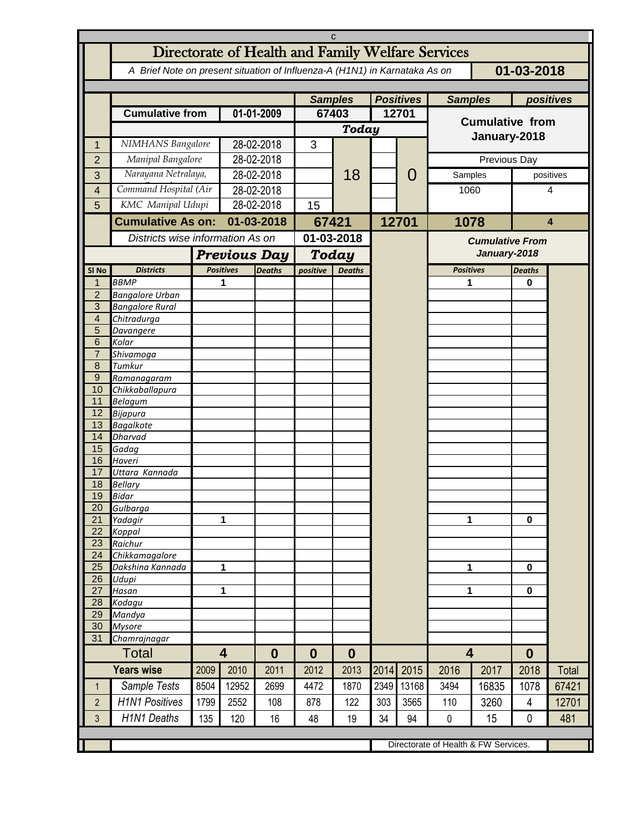|                     | C                                                                                        |                     |                                  |                  |              |                             |       |              |                                        |       |                  |       |  |
|---------------------|------------------------------------------------------------------------------------------|---------------------|----------------------------------|------------------|--------------|-----------------------------|-------|--------------|----------------------------------------|-------|------------------|-------|--|
|                     | Directorate of Health and Family Welfare Services                                        |                     |                                  |                  |              |                             |       |              |                                        |       |                  |       |  |
|                     | 01-03-2018<br>A Brief Note on present situation of Influenza-A (H1N1) in Karnataka As on |                     |                                  |                  |              |                             |       |              |                                        |       |                  |       |  |
|                     |                                                                                          |                     |                                  |                  |              |                             |       |              |                                        |       |                  |       |  |
|                     |                                                                                          | <b>Samples</b>      |                                  | <b>Positives</b> |              | positives<br><b>Samples</b> |       |              |                                        |       |                  |       |  |
|                     | <b>Cumulative from</b>                                                                   |                     | 01-01-2009                       |                  | 67403        |                             | 12701 |              | <b>Cumulative from</b>                 |       |                  |       |  |
|                     |                                                                                          |                     |                                  |                  | Today        |                             |       |              |                                        |       |                  |       |  |
|                     |                                                                                          |                     |                                  |                  |              |                             |       |              | January-2018                           |       |                  |       |  |
| 1                   | NIMHANS Bangalore                                                                        |                     | 28-02-2018                       |                  | 3            |                             |       |              |                                        |       |                  |       |  |
| $\overline{2}$      | Manipal Bangalore                                                                        |                     | 28-02-2018                       |                  |              |                             |       | Previous Day |                                        |       |                  |       |  |
| 3                   | Narayana Netralaya,                                                                      |                     | 28-02-2018                       |                  |              | 18                          |       | 0            | Samples                                |       | positives        |       |  |
| $\overline{4}$      | Command Hospital (Air                                                                    |                     | 28-02-2018                       |                  |              |                             |       |              | 1060<br>1078                           |       | 4<br>4           |       |  |
| 5                   | KMC Manipal Udupi                                                                        |                     | 28-02-2018                       |                  | 15           |                             |       |              |                                        |       |                  |       |  |
|                     | <b>Cumulative As on:</b>                                                                 |                     | 01-03-2018                       |                  | 67421        |                             |       | 12701        |                                        |       |                  |       |  |
|                     |                                                                                          |                     | Districts wise information As on |                  | 01-03-2018   |                             |       |              | <b>Cumulative From</b><br>January-2018 |       |                  |       |  |
|                     |                                                                                          |                     |                                  |                  |              |                             |       |              |                                        |       |                  |       |  |
|                     |                                                                                          | <b>Previous Day</b> |                                  |                  | <b>Today</b> |                             |       |              |                                        |       |                  |       |  |
| SI <sub>No</sub>    | <b>Districts</b>                                                                         |                     | <b>Positives</b>                 | <b>Deaths</b>    | positive     | <b>Deaths</b>               |       |              | <b>Positives</b>                       |       | <b>Deaths</b>    |       |  |
| 1<br>$\overline{2}$ | <b>BBMP</b><br><b>Bangalore Urban</b>                                                    |                     | 1                                |                  |              |                             |       |              | 1                                      |       | 0                |       |  |
| 3                   | <b>Bangalore Rural</b>                                                                   |                     |                                  |                  |              |                             |       |              |                                        |       |                  |       |  |
| $\overline{4}$      | Chitradurga                                                                              |                     |                                  |                  |              |                             |       |              |                                        |       |                  |       |  |
| 5                   | Davangere                                                                                |                     |                                  |                  |              |                             |       |              |                                        |       |                  |       |  |
| 6                   | Kolar                                                                                    |                     |                                  |                  |              |                             |       |              |                                        |       |                  |       |  |
| $\overline{7}$      | Shivamoga                                                                                |                     |                                  |                  |              |                             |       |              |                                        |       |                  |       |  |
| 8                   | Tumkur                                                                                   |                     |                                  |                  |              |                             |       |              |                                        |       |                  |       |  |
| 9<br>10             | Ramanagaram<br>Chikkaballapura                                                           |                     |                                  |                  |              |                             |       |              |                                        |       |                  |       |  |
| 11                  | <b>Belagum</b>                                                                           |                     |                                  |                  |              |                             |       |              |                                        |       |                  |       |  |
| 12                  | <b>Bijapura</b>                                                                          |                     |                                  |                  |              |                             |       |              |                                        |       |                  |       |  |
| 13                  | <b>Bagalkote</b>                                                                         |                     |                                  |                  |              |                             |       |              |                                        |       |                  |       |  |
| 14                  | <b>Dharvad</b>                                                                           |                     |                                  |                  |              |                             |       |              |                                        |       |                  |       |  |
| 15                  | Gadag                                                                                    |                     |                                  |                  |              |                             |       |              |                                        |       |                  |       |  |
| 16<br>17            | Haveri<br>Uttara Kannada                                                                 |                     |                                  |                  |              |                             |       |              |                                        |       |                  |       |  |
| 18                  | <b>Bellary</b>                                                                           |                     |                                  |                  |              |                             |       |              |                                        |       |                  |       |  |
| 19                  | Bidar                                                                                    |                     |                                  |                  |              |                             |       |              |                                        |       |                  |       |  |
| 20                  | Gulbarga                                                                                 |                     |                                  |                  |              |                             |       |              |                                        |       |                  |       |  |
| 21                  | Yadagir                                                                                  |                     | 1                                |                  |              |                             |       |              | 1                                      |       | $\bf{0}$         |       |  |
| 22                  | Koppal                                                                                   |                     |                                  |                  |              |                             |       |              |                                        |       |                  |       |  |
| 23                  | Raichur                                                                                  |                     |                                  |                  |              |                             |       |              |                                        |       |                  |       |  |
| 24<br>25            | Chikkamagalore<br>Dakshina Kannada                                                       | $\mathbf{1}$        |                                  |                  |              |                             |       |              | 1                                      |       | $\bf{0}$         |       |  |
| 26                  | Udupi                                                                                    |                     |                                  |                  |              |                             |       |              |                                        |       |                  |       |  |
| 27                  | Hasan                                                                                    | $\mathbf{1}$        |                                  |                  |              |                             |       |              | 1                                      |       | $\mathbf 0$      |       |  |
| 28                  | Kodagu                                                                                   |                     |                                  |                  |              |                             |       |              |                                        |       |                  |       |  |
| $\overline{29}$     | Mandya                                                                                   |                     |                                  |                  |              |                             |       |              |                                        |       |                  |       |  |
| 30                  | <b>Mysore</b>                                                                            |                     |                                  |                  |              |                             |       |              |                                        |       |                  |       |  |
| 31                  | Chamrajnagar                                                                             |                     |                                  |                  |              |                             |       |              |                                        |       |                  |       |  |
|                     | Total                                                                                    |                     | $\overline{\mathbf{4}}$          | $\bf{0}$         | $\bf{0}$     | $\bf{0}$                    |       |              | $\overline{\mathbf{4}}$                |       | $\boldsymbol{0}$ |       |  |
|                     | <b>Years wise</b>                                                                        | 2009                | 2010                             | 2011             | 2012         | 2013                        | 2014  | 2015         | 2016                                   | 2017  | 2018             | Total |  |
| $\mathbf{1}$        | Sample Tests                                                                             | 8504                | 12952                            | 2699             | 4472         | 1870                        | 2349  | 13168        | 3494                                   | 16835 | 1078             | 67421 |  |
| $\overline{2}$      | <b>H1N1 Positives</b>                                                                    | 1799                | 2552                             | 108              | 878          | 122                         | 303   | 3565         | 110                                    | 3260  | 4                | 12701 |  |
| 3                   | <b>H1N1 Deaths</b>                                                                       | 135                 | 120                              | 16               | 48           | 19                          | 34    | 94           | 0                                      | 15    | $\mathbf 0$      | 481   |  |
|                     |                                                                                          |                     |                                  |                  |              |                             |       |              |                                        |       |                  |       |  |
|                     |                                                                                          |                     |                                  |                  |              |                             |       |              | Directorate of Health & FW Services.   |       |                  |       |  |